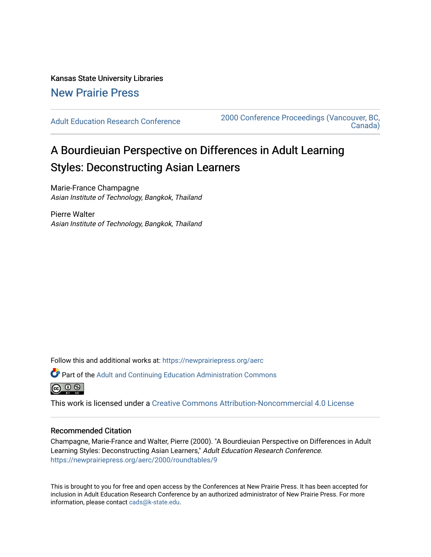Kansas State University Libraries [New Prairie Press](https://newprairiepress.org/) 

[Adult Education Research Conference](https://newprairiepress.org/aerc) [2000 Conference Proceedings \(Vancouver, BC,](https://newprairiepress.org/aerc/2000)  [Canada\)](https://newprairiepress.org/aerc/2000) 

## A Bourdieuian Perspective on Differences in Adult Learning Styles: Deconstructing Asian Learners

Marie-France Champagne Asian Institute of Technology, Bangkok, Thailand

Pierre Walter Asian Institute of Technology, Bangkok, Thailand

Follow this and additional works at: [https://newprairiepress.org/aerc](https://newprairiepress.org/aerc?utm_source=newprairiepress.org%2Faerc%2F2000%2Froundtables%2F9&utm_medium=PDF&utm_campaign=PDFCoverPages)

Part of the [Adult and Continuing Education Administration Commons](http://network.bepress.com/hgg/discipline/789?utm_source=newprairiepress.org%2Faerc%2F2000%2Froundtables%2F9&utm_medium=PDF&utm_campaign=PDFCoverPages)



This work is licensed under a [Creative Commons Attribution-Noncommercial 4.0 License](https://creativecommons.org/licenses/by-nc/4.0/)

## Recommended Citation

Champagne, Marie-France and Walter, Pierre (2000). "A Bourdieuian Perspective on Differences in Adult Learning Styles: Deconstructing Asian Learners," Adult Education Research Conference. <https://newprairiepress.org/aerc/2000/roundtables/9>

This is brought to you for free and open access by the Conferences at New Prairie Press. It has been accepted for inclusion in Adult Education Research Conference by an authorized administrator of New Prairie Press. For more information, please contact [cads@k-state.edu](mailto:cads@k-state.edu).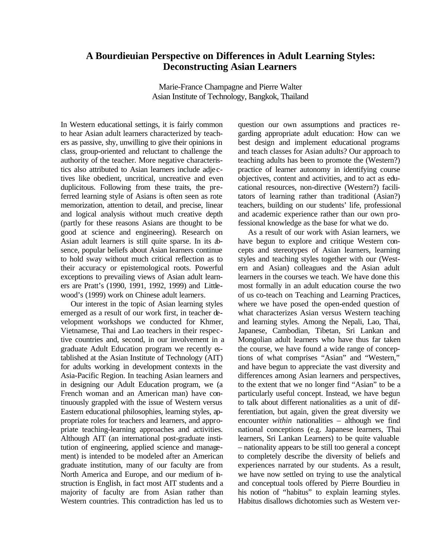## **A Bourdieuian Perspective on Differences in Adult Learning Styles: Deconstructing Asian Learners**

Marie-France Champagne and Pierre Walter Asian Institute of Technology, Bangkok, Thailand

In Western educational settings, it is fairly common to hear Asian adult learners characterized by teachers as passive, shy, unwilling to give their opinions in class, group-oriented and reluctant to challenge the authority of the teacher. More negative characteristics also attributed to Asian learners include adje ctives like obedient, uncritical, uncreative and even duplicitous. Following from these traits, the preferred learning style of Asians is often seen as rote memorization, attention to detail, and precise, linear and logical analysis without much creative depth (partly for these reasons Asians are thought to be good at science and engineering). Research on Asian adult learners is still quite sparse. In its absence, popular beliefs about Asian learners continue to hold sway without much critical reflection as to their accuracy or epistemological roots. Powerful exceptions to prevailing views of Asian adult learners are Pratt's (1990, 1991, 1992, 1999) and Littlewood's (1999) work on Chinese adult learners.

Our interest in the topic of Asian learning styles emerged as a result of our work first, in teacher development workshops we conducted for Khmer, Vietnamese, Thai and Lao teachers in their respective countries and, second, in our involvement in a graduate Adult Education program we recently established at the Asian Institute of Technology (AIT) for adults working in development contexts in the Asia-Pacific Region. In teaching Asian learners and in designing our Adult Education program, we (a French woman and an American man) have continuously grappled with the issue of Western versus Eastern educational philosophies, learning styles, appropriate roles for teachers and learners, and appropriate teaching-learning approaches and activities. Although AIT (an international post-graduate institution of engineering, applied science and management) is intended to be modeled after an American graduate institution, many of our faculty are from North America and Europe, and our medium of instruction is English, in fact most AIT students and a majority of faculty are from Asian rather than Western countries. This contradiction has led us to

question our own assumptions and practices regarding appropriate adult education: How can we best design and implement educational programs and teach classes for Asian adults? Our approach to teaching adults has been to promote the (Western?) practice of learner autonomy in identifying course objectives, content and activities, and to act as educational resources, non-directive (Western?) facilitators of learning rather than traditional (Asian?) teachers, building on our students' life, professional and academic experience rather than our own professional knowledge as the base for what we do.

As a result of our work with Asian learners, we have begun to explore and critique Western concepts and stereotypes of Asian learners, learning styles and teaching styles together with our (Western and Asian) colleagues and the Asian adult learners in the courses we teach. We have done this most formally in an adult education course the two of us co-teach on Teaching and Learning Practices, where we have posed the open-ended question of what characterizes Asian versus Western teaching and learning styles. Among the Nepali, Lao, Thai, Japanese, Cambodian, Tibetan, Sri Lankan and Mongolian adult learners who have thus far taken the course, we have found a wide range of conceptions of what comprises "Asian" and "Western," and have begun to appreciate the vast diversity and differences among Asian learners and perspectives, to the extent that we no longer find "Asian" to be a particularly useful concept. Instead, we have begun to talk about different nationalities as a unit of differentiation, but again, given the great diversity we encounter *within* nationalities – although we find national conceptions (e.g. Japanese learners, Thai learners, Sri Lankan Learners) to be quite valuable – nationality appears to be still too general a concept to completely describe the diversity of beliefs and experiences narrated by our students. As a result, we have now settled on trying to use the analytical and conceptual tools offered by Pierre Bourdieu in his notion of "habitus" to explain learning styles. Habitus disallows dichotomies such as Western ver